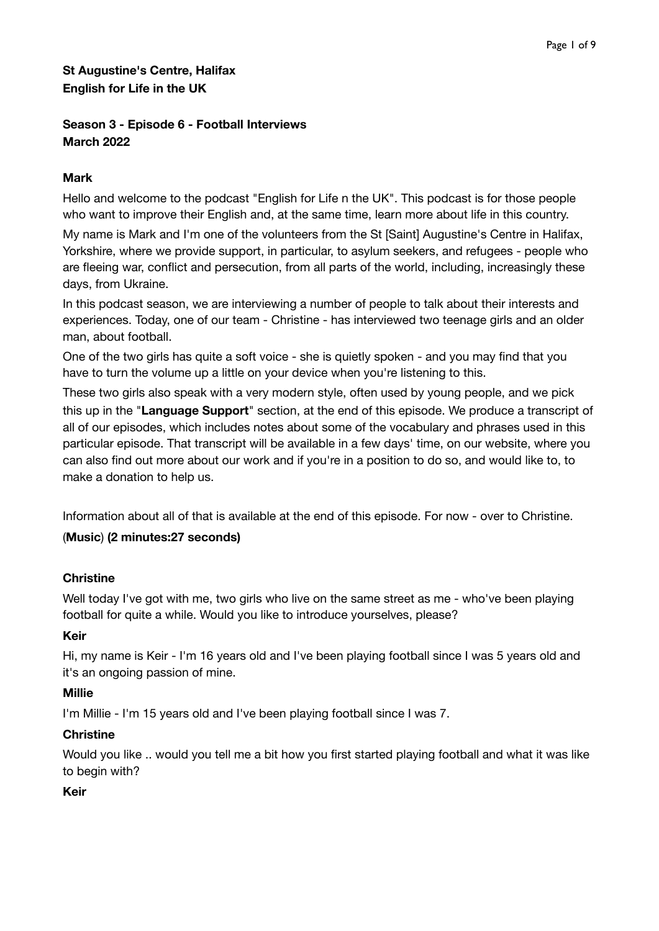# **St Augustine's Centre, Halifax English for Life in the UK**

# **Season 3 - Episode 6 - Football Interviews March 2022**

# **Mark**

Hello and welcome to the podcast "English for Life n the UK". This podcast is for those people who want to improve their English and, at the same time, learn more about life in this country.

My name is Mark and I'm one of the volunteers from the St [Saint] Augustine's Centre in Halifax, Yorkshire, where we provide support, in particular, to asylum seekers, and refugees - people who are fleeing war, conflict and persecution, from all parts of the world, including, increasingly these days, from Ukraine.

In this podcast season, we are interviewing a number of people to talk about their interests and experiences. Today, one of our team - Christine - has interviewed two teenage girls and an older man, about football.

One of the two girls has quite a soft voice - she is quietly spoken - and you may find that you have to turn the volume up a little on your device when you're listening to this.

These two girls also speak with a very modern style, often used by young people, and we pick this up in the "**Language Support**" section, at the end of this episode. We produce a transcript of all of our episodes, which includes notes about some of the vocabulary and phrases used in this particular episode. That transcript will be available in a few days' time, on our website, where you can also find out more about our work and if you're in a position to do so, and would like to, to make a donation to help us.

Information about all of that is available at the end of this episode. For now - over to Christine.

### (**Music**) **(2 minutes:27 seconds)**

### **Christine**

Well today I've got with me, two girls who live on the same street as me - who've been playing football for quite a while. Would you like to introduce yourselves, please?

### **Keir**

Hi, my name is Keir - I'm 16 years old and I've been playing football since I was 5 years old and it's an ongoing passion of mine.

### **Millie**

I'm Millie - I'm 15 years old and I've been playing football since I was 7.

### **Christine**

Would you like .. would you tell me a bit how you first started playing football and what it was like to begin with?

### **Keir**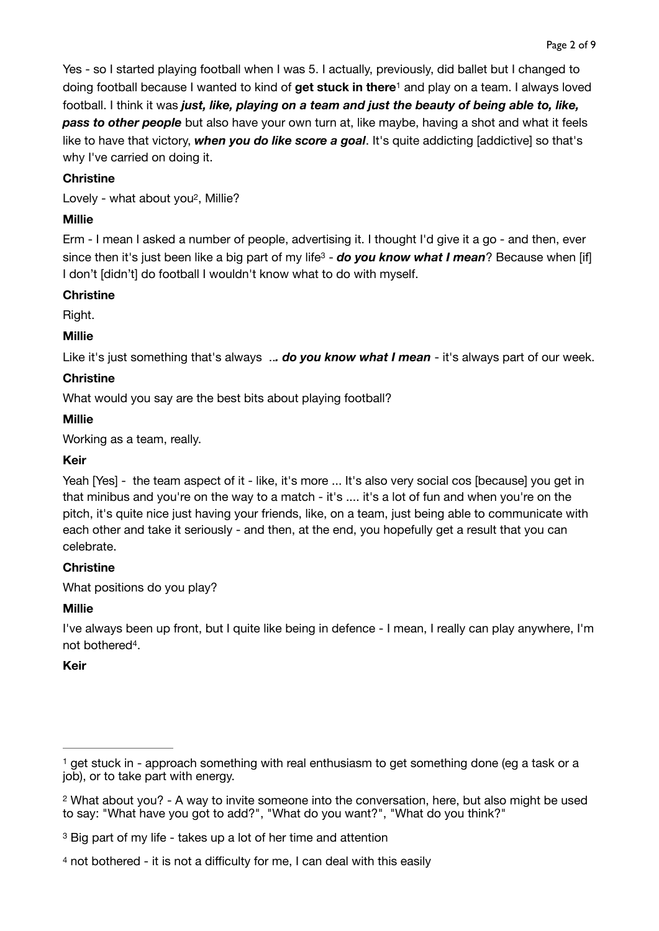<span id="page-1-4"></span>Yes - so I started playing football when I was 5. I actually, previously, did ballet but I changed to doing football because I wanted to kind of get stuck in there<sup>[1](#page-1-0)</sup> and play on a team. I always loved football. I think it was *just, like, playing on a team and just the beauty of being able to, like, pass to other people* but also have your own turn at, like maybe, having a shot and what it feels like to have that victory, *when you do like score a goal*. It's quite addicting [addictive] so that's why I've carried on doing it.

## **Christine**

<span id="page-1-5"></span>Lovely - what about yo[u2](#page-1-1), Millie?

# **Millie**

<span id="page-1-6"></span>Erm - I mean I asked a number of people, advertising it. I thought I'd give it a go - and then, ever since then it's just been like a big part of my life<sup>3</sup> - *do you know what I mean*? Because when [if] I don't [didn't] do football I wouldn't know what to do with myself.

### **Christine**

Right.

## **Millie**

Like it's just something that's always ..*. do you know what I mean* - it's always part of our week.

## **Christine**

What would you say are the best bits about playing football?

## **Millie**

Working as a team, really.

### **Keir**

Yeah [Yes] - the team aspect of it - like, it's more ... It's also very social cos [because] you get in that minibus and you're on the way to a match - it's .... it's a lot of fun and when you're on the pitch, it's quite nice just having your friends, like, on a team, just being able to communicate with each other and take it seriously - and then, at the end, you hopefully get a result that you can celebrate.

# **Christine**

What positions do you play?

### **Millie**

I've always been up front, but I quite like being in defence - I mean, I really can play anywhere, I'm not bothered<sup>4</sup>[.](#page-1-3)

### <span id="page-1-7"></span>**Keir**

<span id="page-1-0"></span> $<sup>1</sup>$  $<sup>1</sup>$  $<sup>1</sup>$ get stuck in - approach something with real enthusiasm to get something done (eg a task or a</sup> job), or to take part with energy.

<span id="page-1-1"></span><sup>&</sup>lt;sup>2</sup>What about you? - A way to invite someone into the conversation, here, but also might be used to say: "What have you got to add?", "What do you want?", "What do you think?"

<span id="page-1-2"></span>[<sup>3</sup>](#page-1-6) Big part of my life - takes up a lot of her time and attention

<span id="page-1-3"></span>[<sup>4</sup>](#page-1-7) not bothered - it is not a difficulty for me, I can deal with this easily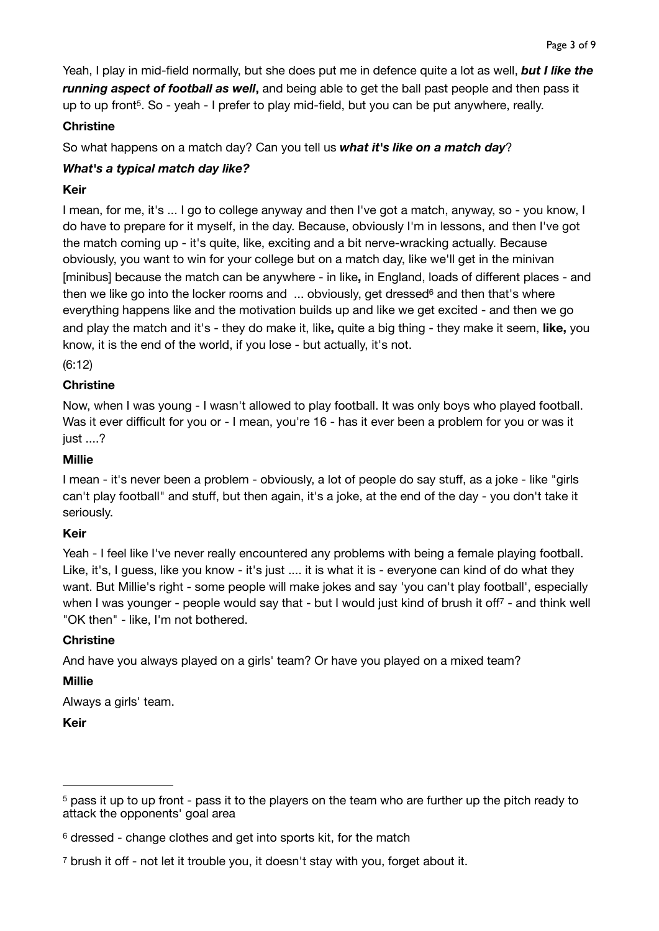Yeah, I play in mid-field normally, but she does put me in defence quite a lot as well, *but I like the running aspect of football as well***,** and being able to get the ball past people and then pass it up to up front<sup>5</sup>[.](#page-2-0) So - yeah - I prefer to play mid-field, but you can be put anywhere, really.

### <span id="page-2-3"></span>**Christine**

So what happens on a match day? Can you tell us *what it's like on a match day*?

# *What's a typical match day like?*

## **Keir**

I mean, for me, it's ... I go to college anyway and then I've got a match, anyway, so - you know, I do have to prepare for it myself, in the day. Because, obviously I'm in lessons, and then I've got the match coming up - it's quite, like, exciting and a bit nerve-wracking actually. Because obviously, you want to win for your college but on a match day, like we'll get in the minivan [minibus] because the match can be anywhere - in like**,** in England, loads of different places - and thenwe like go into the locker rooms and  $\ldots$  obviously, get dressed<sup>[6](#page-2-1)</sup> and then that's where everything happens like and the motivation builds up and like we get excited - and then we go and play the match and it's - they do make it, like**,** quite a big thing - they make it seem, **like,** you know, it is the end of the world, if you lose - but actually, it's not.

<span id="page-2-4"></span>(6:12)

## **Christine**

Now, when I was young - I wasn't allowed to play football. It was only boys who played football. Was it ever difficult for you or - I mean, you're 16 - has it ever been a problem for you or was it just ....?

#### **Millie**

I mean - it's never been a problem - obviously, a lot of people do say stuff, as a joke - like "girls can't play football" and stuff, but then again, it's a joke, at the end of the day - you don't take it seriously.

### **Keir**

Yeah - I feel like I've never really encountered any problems with being a female playing football. Like, it's, I guess, like you know - it's just .... it is what it is - everyone can kind of do what they want. But Millie's right - some people will make jokes and say 'you can't play football', especially whenI was younger - people would say that - but I would just kind of brush it off<sup>[7](#page-2-2)</sup> - and think well "OK then" - like, I'm not bothered.

### <span id="page-2-5"></span>**Christine**

And have you always played on a girls' team? Or have you played on a mixed team?

### **Millie**

Always a girls' team.

**Keir**

<span id="page-2-0"></span> $5$ pass it up to up front - pass it to the players on the team who are further up the pitch ready to attack the opponents' goal area

<span id="page-2-1"></span> $6$ dressed - change clothes and get into sports kit, for the match

<span id="page-2-2"></span><sup>&</sup>lt;sup>[7](#page-2-5)</sup> brush it off - not let it trouble you, it doesn't stay with you, forget about it.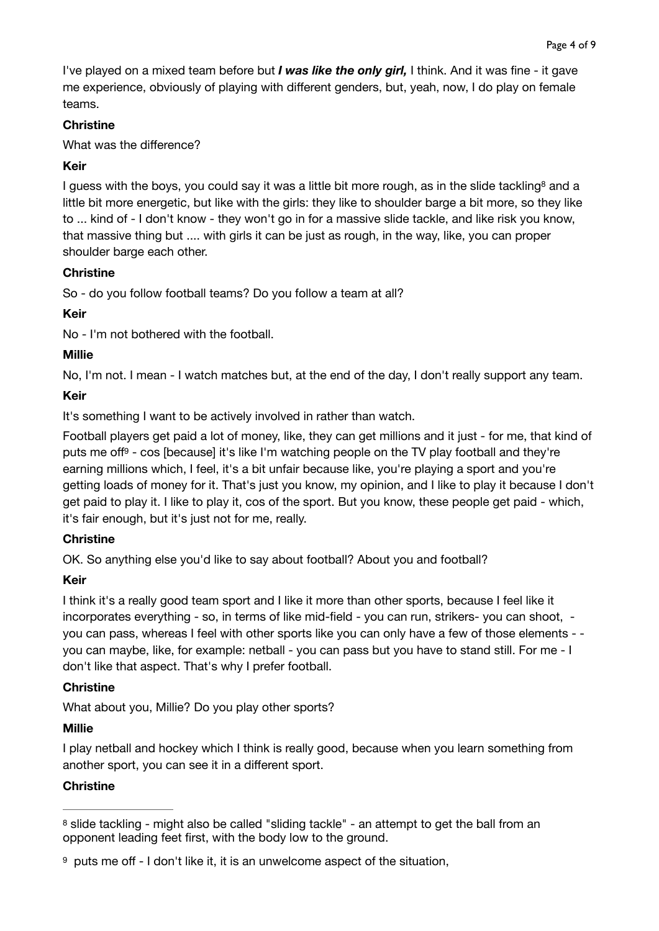I've played on a mixed team before but *I was like the only girl,* I think. And it was fine - it gave me experience, obviously of playing with different genders, but, yeah, now, I do play on female teams.

## **Christine**

What was the difference?

# <span id="page-3-2"></span>**Keir**

I [g](#page-3-0)uess with the boys, you could say it was a little bit more rough, as in the slide tackling<sup>[8](#page-3-0)</sup> and a little bit more energetic, but like with the girls: they like to shoulder barge a bit more, so they like to ... kind of - I don't know - they won't go in for a massive slide tackle, and like risk you know, that massive thing but .... with girls it can be just as rough, in the way, like, you can proper shoulder barge each other.

## **Christine**

So - do you follow football teams? Do you follow a team at all?

# **Keir**

No - I'm not bothered with the football.

# **Millie**

No, I'm not. I mean - I watch matches but, at the end of the day, I don't really support any team.

# **Keir**

It's something I want to be actively involved in rather than watch.

<span id="page-3-3"></span>Football players get paid a lot of money, like, they can get millions and it just - for me, that kind of puts me off<sup>[9](#page-3-1)</sup> - cos [because] it's like I'm watching people on the TV play football and they're earning millions which, I feel, it's a bit unfair because like, you're playing a sport and you're getting loads of money for it. That's just you know, my opinion, and I like to play it because I don't get paid to play it. I like to play it, cos of the sport. But you know, these people get paid - which, it's fair enough, but it's just not for me, really.

# **Christine**

OK. So anything else you'd like to say about football? About you and football?

# **Keir**

I think it's a really good team sport and I like it more than other sports, because I feel like it incorporates everything - so, in terms of like mid-field - you can run, strikers- you can shoot, you can pass, whereas I feel with other sports like you can only have a few of those elements - you can maybe, like, for example: netball - you can pass but you have to stand still. For me - I don't like that aspect. That's why I prefer football.

### **Christine**

What about you, Millie? Do you play other sports?

### **Millie**

I play netball and hockey which I think is really good, because when you learn something from another sport, you can see it in a different sport.

### **Christine**

<span id="page-3-0"></span><sup>&</sup>lt;sup>8</sup>slide tackling - might also be called "sliding tackle" - an attempt to get the ball from an opponent leading feet first, with the body low to the ground.

<span id="page-3-1"></span> $9$  puts me off - I don't like it, it is an unwelcome aspect of the situation,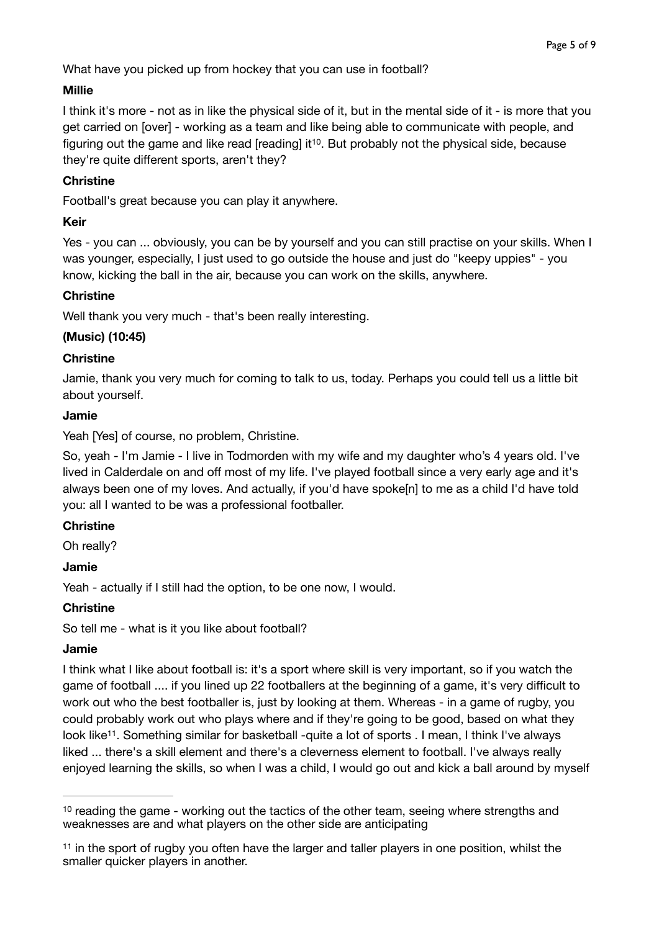What have you picked up from hockey that you can use in football?

#### **Millie**

I think it's more - not as in like the physical side of it, but in the mental side of it - is more that you get carried on [over] - working as a team and like being able to communicate with people, and figuring out the game and like read [reading] it<sup>10</sup>[.](#page-4-0) But probably not the physical side, because they're quite different sports, aren't they?

### <span id="page-4-2"></span>**Christine**

Football's great because you can play it anywhere.

### **Keir**

Yes - you can ... obviously, you can be by yourself and you can still practise on your skills. When I was younger, especially, I just used to go outside the house and just do "keepy uppies" - you know, kicking the ball in the air, because you can work on the skills, anywhere.

### **Christine**

Well thank you very much - that's been really interesting.

### **(Music) (10:45)**

### **Christine**

Jamie, thank you very much for coming to talk to us, today. Perhaps you could tell us a little bit about yourself.

### **Jamie**

Yeah [Yes] of course, no problem, Christine.

So, yeah - I'm Jamie - I live in Todmorden with my wife and my daughter who's 4 years old. I've lived in Calderdale on and off most of my life. I've played football since a very early age and it's always been one of my loves. And actually, if you'd have spoke[n] to me as a child I'd have told you: all I wanted to be was a professional footballer.

### **Christine**

Oh really?

### **Jamie**

Yeah - actually if I still had the option, to be one now, I would.

### **Christine**

So tell me - what is it you like about football?

### **Jamie**

<span id="page-4-3"></span>I think what I like about football is: it's a sport where skill is very important, so if you watch the game of football .... if you lined up 22 footballers at the beginning of a game, it's very difficult to work out who the best footballer is, just by looking at them. Whereas - in a game of rugby, you could probably work out who plays where and if they're going to be good, based on what they look like<sup>[11](#page-4-1)</sup>. Something similar for basketball -quite a lot of sports . I mean, I think I've always liked ... there's a skill element and there's a cleverness element to football. I've always really enjoyed learning the skills, so when I was a child, I would go out and kick a ball around by myself

<span id="page-4-0"></span><sup>&</sup>lt;sup>10</sup>reading the game - working out the tactics of the other team, seeing where strengths and weaknesses are and what players on the other side are anticipating

<span id="page-4-1"></span><sup>&</sup>lt;sup>11</sup>in the sport of rugby you often have the larger and taller players in one position, whilst the smaller quicker players in another.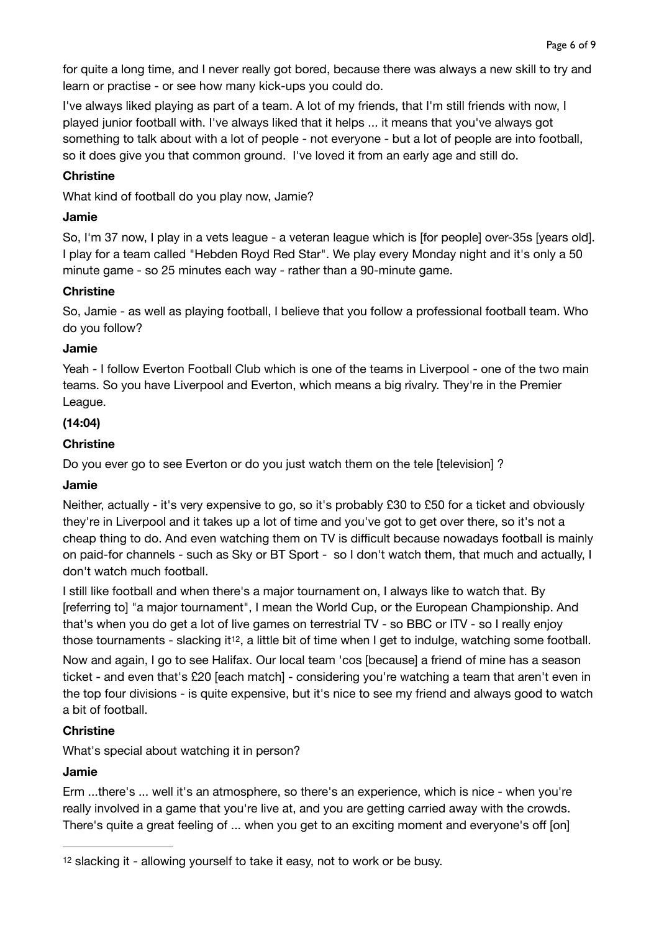for quite a long time, and I never really got bored, because there was always a new skill to try and learn or practise - or see how many kick-ups you could do.

I've always liked playing as part of a team. A lot of my friends, that I'm still friends with now, I played junior football with. I've always liked that it helps ... it means that you've always got something to talk about with a lot of people - not everyone - but a lot of people are into football, so it does give you that common ground. I've loved it from an early age and still do.

#### **Christine**

What kind of football do you play now, Jamie?

#### **Jamie**

So, I'm 37 now, I play in a vets league - a veteran league which is [for people] over-35s [years old]. I play for a team called "Hebden Royd Red Star". We play every Monday night and it's only a 50 minute game - so 25 minutes each way - rather than a 90-minute game.

#### **Christine**

So, Jamie - as well as playing football, I believe that you follow a professional football team. Who do you follow?

#### **Jamie**

Yeah - I follow Everton Football Club which is one of the teams in Liverpool - one of the two main teams. So you have Liverpool and Everton, which means a big rivalry. They're in the Premier League.

### **(14:04)**

### **Christine**

Do you ever go to see Everton or do you just watch them on the tele [television] ?

### **Jamie**

Neither, actually - it's very expensive to go, so it's probably £30 to £50 for a ticket and obviously they're in Liverpool and it takes up a lot of time and you've got to get over there, so it's not a cheap thing to do. And even watching them on TV is difficult because nowadays football is mainly on paid-for channels - such as Sky or BT Sport - so I don't watch them, that much and actually, I don't watch much football.

I still like football and when there's a major tournament on, I always like to watch that. By [referring to] "a major tournament", I mean the World Cup, or the European Championship. And that's when you do get a lot of live games on terrestrial TV - so BBC or ITV - so I really enjoy those tournaments - slacking it<sup>[12](#page-5-0)</sup>, a little bit of time when I get to indulge, watching some football.

<span id="page-5-1"></span>Now and again, I go to see Halifax. Our local team 'cos [because] a friend of mine has a season ticket - and even that's £20 [each match] - considering you're watching a team that aren't even in the top four divisions - is quite expensive, but it's nice to see my friend and always good to watch a bit of football.

### **Christine**

What's special about watching it in person?

### **Jamie**

Erm ...there's ... well it's an atmosphere, so there's an experience, which is nice - when you're really involved in a game that you're live at, and you are getting carried away with the crowds. There's quite a great feeling of ... when you get to an exciting moment and everyone's off [on]

<span id="page-5-0"></span><sup>&</sup>lt;sup>[12](#page-5-1)</sup> slacking it - allowing yourself to take it easy, not to work or be busy.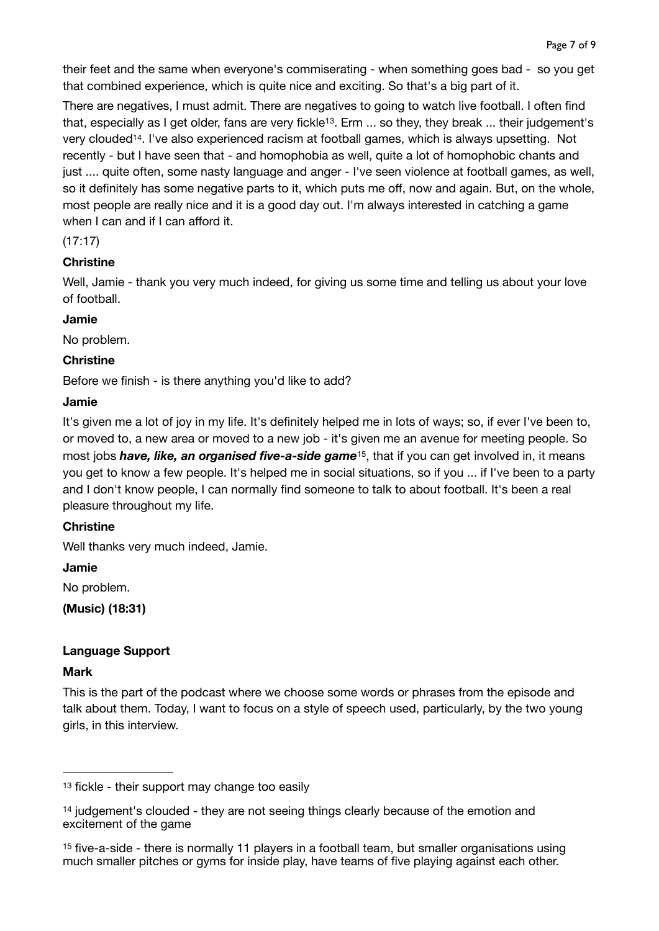their feet and the same when everyone's commiserating - when something goes bad - so you get that combined experience, which is quite nice and exciting. So that's a big part of it.

<span id="page-6-4"></span><span id="page-6-3"></span>There are negatives, I must admit. There are negatives to going to watch live football. I often find that, especially as I get older, fans are very fickle<sup>13</sup>[.](#page-6-0) Erm ... so they, they break ... their judgement's very clouded<sup>[14](#page-6-1)</sup>. I've also experienced racism at football games, which is always upsetting. Not recently - but I have seen that - and homophobia as well, quite a lot of homophobic chants and just .... quite often, some nasty language and anger - I've seen violence at football games, as well, so it definitely has some negative parts to it, which puts me off, now and again. But, on the whole, most people are really nice and it is a good day out. I'm always interested in catching a game when I can and if I can afford it.

#### (17:17)

### **Christine**

Well, Jamie - thank you very much indeed, for giving us some time and telling us about your love of football.

#### **Jamie**

No problem.

### **Christine**

Before we finish - is there anything you'd like to add?

#### **Jamie**

<span id="page-6-5"></span>It's given me a lot of joy in my life. It's definitely helped me in lots of ways; so, if ever I've been to, or moved to, a new area or moved to a new job - it's given me an avenue for meeting people. So most jobs *have[,](#page-6-2) like, an organised five-a-side game* <sup>[15](#page-6-2)</sup>, that if you can get involved in, it means you get to know a few people. It's helped me in social situations, so if you ... if I've been to a party and I don't know people, I can normally find someone to talk to about football. It's been a real pleasure throughout my life.

### **Christine**

Well thanks very much indeed, Jamie.

#### **Jamie**

No problem.

**(Music) (18:31)** 

### **Language Support**

#### **Mark**

This is the part of the podcast where we choose some words or phrases from the episode and talk about them. Today, I want to focus on a style of speech used, particularly, by the two young girls, in this interview.

<span id="page-6-0"></span> $13$  fickle - their support may change too easily

<span id="page-6-1"></span><sup>&</sup>lt;sup>14</sup>judgement's clouded - they are not seeing things clearly because of the emotion and excitement of the game

<span id="page-6-2"></span><sup>&</sup>lt;sup>[15](#page-6-5)</sup> five-a-side - there is normally 11 players in a football team, but smaller organisations using much smaller pitches or gyms for inside play, have teams of five playing against each other.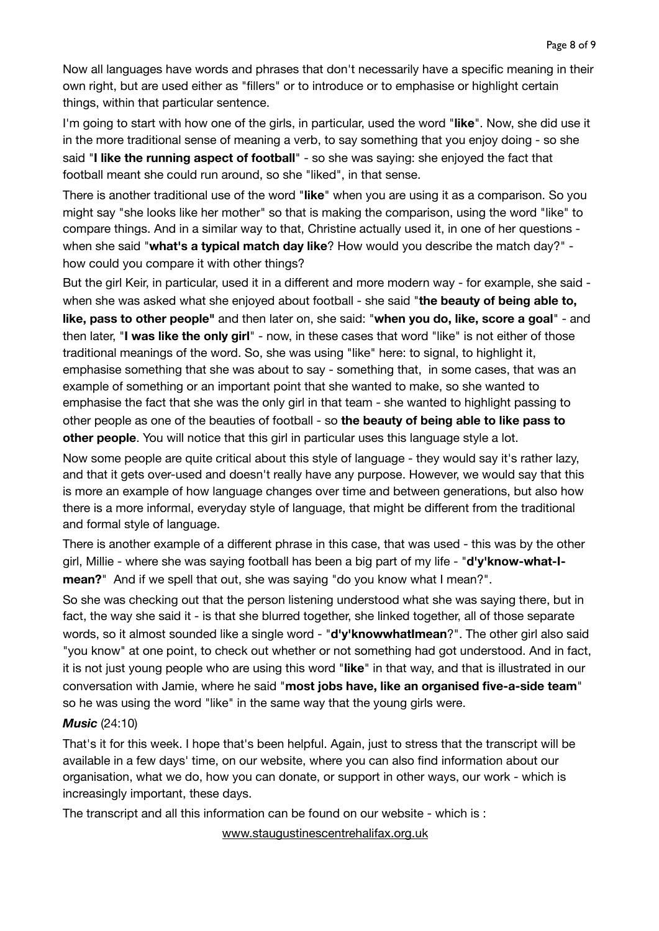Now all languages have words and phrases that don't necessarily have a specific meaning in their own right, but are used either as "fillers" or to introduce or to emphasise or highlight certain things, within that particular sentence.

I'm going to start with how one of the girls, in particular, used the word "**like**". Now, she did use it in the more traditional sense of meaning a verb, to say something that you enjoy doing - so she said "**I like the running aspect of football**" - so she was saying: she enjoyed the fact that football meant she could run around, so she "liked", in that sense.

There is another traditional use of the word "**like**" when you are using it as a comparison. So you might say "she looks like her mother" so that is making the comparison, using the word "like" to compare things. And in a similar way to that, Christine actually used it, in one of her questions when she said "**what's a typical match day like**? How would you describe the match day?" how could you compare it with other things?

But the girl Keir, in particular, used it in a different and more modern way - for example, she said when she was asked what she enjoyed about football - she said "**the beauty of being able to, like, pass to other people"** and then later on, she said: "**when you do, like, score a goal**" - and then later, "**I was like the only girl**" - now, in these cases that word "like" is not either of those traditional meanings of the word. So, she was using "like" here: to signal, to highlight it, emphasise something that she was about to say - something that, in some cases, that was an example of something or an important point that she wanted to make, so she wanted to emphasise the fact that she was the only girl in that team - she wanted to highlight passing to other people as one of the beauties of football - so **the beauty of being able to like pass to other people**. You will notice that this girl in particular uses this language style a lot.

Now some people are quite critical about this style of language - they would say it's rather lazy, and that it gets over-used and doesn't really have any purpose. However, we would say that this is more an example of how language changes over time and between generations, but also how there is a more informal, everyday style of language, that might be different from the traditional and formal style of language.

There is another example of a different phrase in this case, that was used - this was by the other girl, Millie - where she was saying football has been a big part of my life - "**d'y'know-what-Imean?**" And if we spell that out, she was saying "do you know what I mean?".

So she was checking out that the person listening understood what she was saying there, but in fact, the way she said it - is that she blurred together, she linked together, all of those separate words, so it almost sounded like a single word - "**d'y'knowwhatImean**?". The other girl also said "you know" at one point, to check out whether or not something had got understood. And in fact, it is not just young people who are using this word "**like**" in that way, and that is illustrated in our conversation with Jamie, where he said "**most jobs have, like an organised five-a-side team**" so he was using the word "like" in the same way that the young girls were.

#### *Music* (24:10)

That's it for this week. I hope that's been helpful. Again, just to stress that the transcript will be available in a few days' time, on our website, where you can also find information about our organisation, what we do, how you can donate, or support in other ways, our work - which is increasingly important, these days.

The transcript and all this information can be found on our website - which is :

 [www.staugustinescentrehalifax.org.uk](http://www.staugustinescentrehalifax.org.uk)